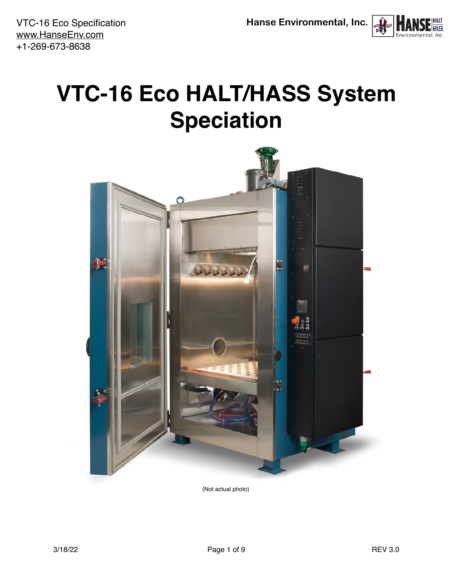VTC-16 Eco Specification [www.HanseEnv.com](http://www.HanseEnv.com) +1-269-673-8638



# <span id="page-0-0"></span>**VTC-16 Eco HALT/HASS System Speciation**



(Not actual photo)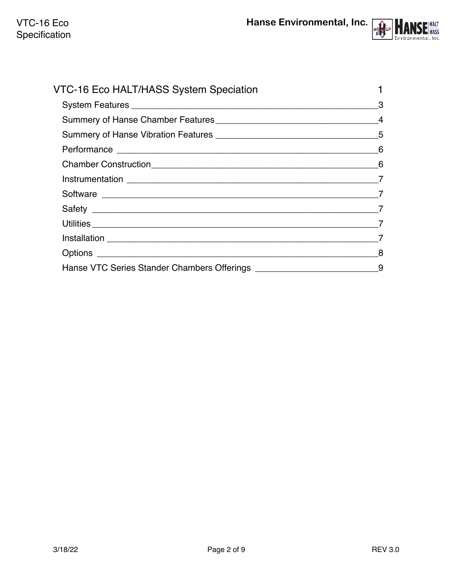

| VTC-16 Eco HALT/HASS System Speciation |    |
|----------------------------------------|----|
|                                        | -3 |
|                                        |    |
|                                        |    |
|                                        |    |
|                                        | 6  |
|                                        |    |
|                                        |    |
|                                        |    |
|                                        |    |
|                                        |    |
|                                        | 8  |
|                                        |    |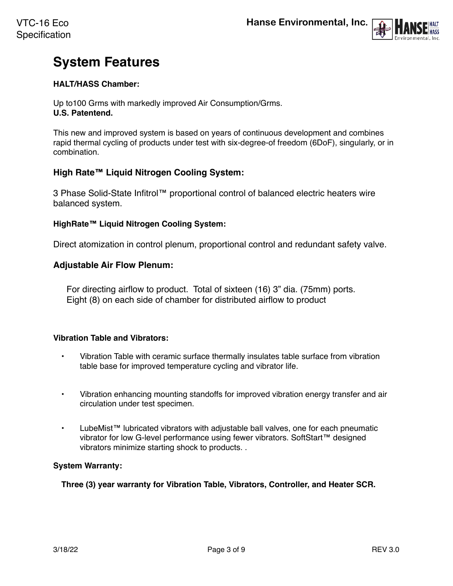

# <span id="page-2-0"></span>**System Features**

#### **HALT/HASS Chamber:**

Up to100 Grms with markedly improved Air Consumption/Grms. **U.S. Patentend.**

This new and improved system is based on years of continuous development and combines rapid thermal cycling of products under test with six-degree-of freedom (6DoF), singularly, or in combination.

#### **High Rate™ Liquid Nitrogen Cooling System:**

3 Phase Solid-State Infitrol™ proportional control of balanced electric heaters wire balanced system.

#### **HighRate™ Liquid Nitrogen Cooling System:**

Direct atomization in control plenum, proportional control and redundant safety valve.

#### **Adjustable Air Flow Plenum:**

For directing airflow to product. Total of sixteen (16) 3" dia. (75mm) ports. Eight (8) on each side of chamber for distributed airflow to product

#### **Vibration Table and Vibrators:**

- Vibration Table with ceramic surface thermally insulates table surface from vibration table base for improved temperature cycling and vibrator life.
- Vibration enhancing mounting standoffs for improved vibration energy transfer and air circulation under test specimen.
- LubeMist™ lubricated vibrators with adjustable ball valves, one for each pneumatic vibrator for low G-level performance using fewer vibrators. SoftStart™ designed vibrators minimize starting shock to products. .

#### **System Warranty:**

**Three (3) year warranty for Vibration Table, Vibrators, Controller, and Heater SCR.**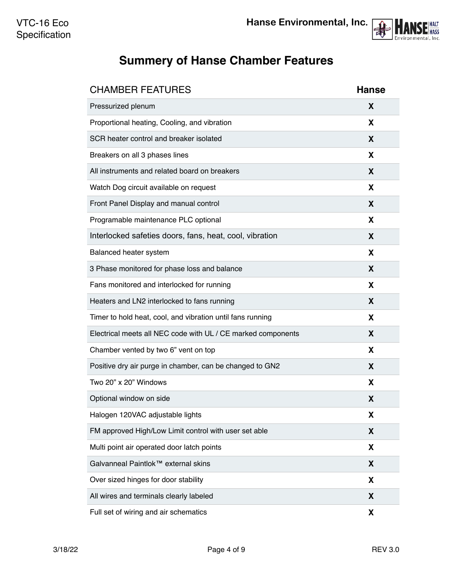

# <span id="page-3-0"></span>**Summery of Hanse Chamber Features**

| <b>CHAMBER FEATURES</b>                                      | <b>Hanse</b> |
|--------------------------------------------------------------|--------------|
| Pressurized plenum                                           | X            |
| Proportional heating, Cooling, and vibration                 | X            |
| SCR heater control and breaker isolated                      | X            |
| Breakers on all 3 phases lines                               | X            |
| All instruments and related board on breakers                | X            |
| Watch Dog circuit available on request                       | X            |
| Front Panel Display and manual control                       | X            |
| Programable maintenance PLC optional                         | X            |
| Interlocked safeties doors, fans, heat, cool, vibration      | X            |
| Balanced heater system                                       | X            |
| 3 Phase monitored for phase loss and balance                 | X            |
| Fans monitored and interlocked for running                   | X            |
| Heaters and LN2 interlocked to fans running                  | X            |
| Timer to hold heat, cool, and vibration until fans running   | X            |
| Electrical meets all NEC code with UL / CE marked components | X            |
| Chamber vented by two 6" vent on top                         | X            |
| Positive dry air purge in chamber, can be changed to GN2     | X            |
| Two 20" x 20" Windows                                        | X            |
| Optional window on side                                      | X            |
| Halogen 120VAC adjustable lights                             | X            |
| FM approved High/Low Limit control with user set able        | X            |
| Multi point air operated door latch points                   | X            |
| Galvanneal Paintlok™ external skins                          | X            |
| Over sized hinges for door stability                         | X            |
| All wires and terminals clearly labeled                      | X            |
| Full set of wiring and air schematics                        | X            |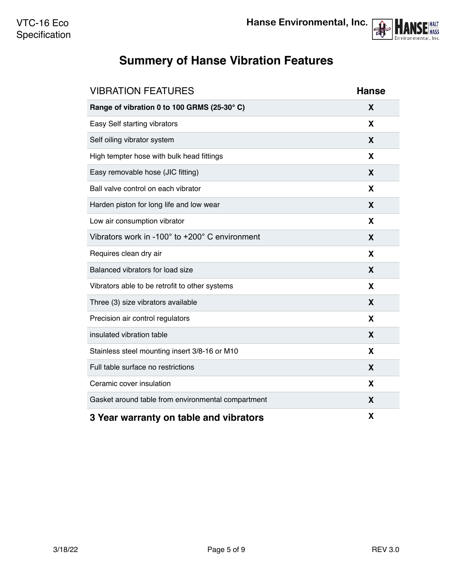

# <span id="page-4-0"></span>**Summery of Hanse Vibration Features**

| <b>VIBRATION FEATURES</b>                          | <b>Hanse</b> |
|----------------------------------------------------|--------------|
| Range of vibration 0 to 100 GRMS (25-30°C)         | X            |
| Easy Self starting vibrators                       | X            |
| Self oiling vibrator system                        | X            |
| High tempter hose with bulk head fittings          | X            |
| Easy removable hose (JIC fitting)                  | X            |
| Ball valve control on each vibrator                | X            |
| Harden piston for long life and low wear           | X            |
| Low air consumption vibrator                       | X            |
| Vibrators work in -100° to +200° C environment     | X            |
| Requires clean dry air                             | X            |
| Balanced vibrators for load size                   | X            |
| Vibrators able to be retrofit to other systems     | X            |
| Three (3) size vibrators available                 | X            |
| Precision air control regulators                   | X            |
| insulated vibration table                          | X            |
| Stainless steel mounting insert 3/8-16 or M10      | X            |
| Full table surface no restrictions                 | X            |
| Ceramic cover insulation                           | X            |
| Gasket around table from environmental compartment | X            |
| 3 Year warranty on table and vibrators             | X            |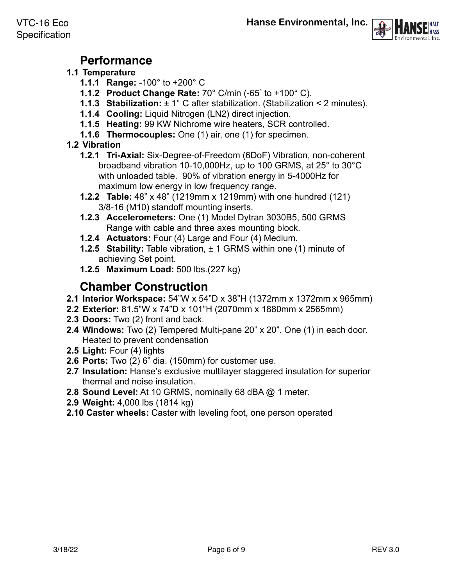



### **Performance**

#### <span id="page-5-0"></span>**1.1 Temperature**

- **1.1.1 Range:** -100° to +200° C
- **1.1.2 Product Change Rate:** 70° C/min (-65° to +100° C).
- **1.1.3 Stabilization:** ± 1° C after stabilization. (Stabilization < 2 minutes).
- **1.1.4 Cooling:** Liquid Nitrogen (LN2) direct injection.
- **1.1.5 Heating:** 99 KW Nichrome wire heaters, SCR controlled.
- **1.1.6 Thermocouples:** One (1) air, one (1) for specimen.
- **1.2 Vibration**
	- **1.2.1 Tri-Axial:** Six-Degree-of-Freedom (6DoF) Vibration, non-coherent broadband vibration 10-10,000Hz, up to 100 GRMS, at 25° to 30°C with unloaded table. 90% of vibration energy in 5-4000Hz for maximum low energy in low frequency range.
	- **1.2.2 Table:** 48" x 48" (1219mm x 1219mm) with one hundred (121) 3/8-16 (M10) standoff mounting inserts.
	- **1.2.3 Accelerometers:** One (1) Model Dytran 3030B5, 500 GRMS Range with cable and three axes mounting block.
	- **1.2.4 Actuators:** Four (4) Large and Four (4) Medium.
	- **1.2.5 Stability:** Table vibration, ± 1 GRMS within one (1) minute of achieving Set point.
	- **1.2.5 Maximum Load:** 500 lbs.(227 kg)

## **Chamber Construction**

- <span id="page-5-1"></span>**2.1 Interior Workspace:** 54"W x 54"D x 38"H (1372mm x 1372mm x 965mm)
- **2.2 Exterior:** 81.5"W x 74"D x 101"H (2070mm x 1880mm x 2565mm)
- **2.3 Doors:** Two (2) front and back.
- **2.4 Windows:** Two (2) Tempered Multi-pane 20" x 20". One (1) in each door. Heated to prevent condensation
- **2.5 Light:** Four (4) lights
- **2.6 Ports:** Two (2) 6" dia. (150mm) for customer use.
- **2.7 Insulation:** Hanse's exclusive multilayer staggered insulation for superior thermal and noise insulation.
- **2.8 Sound Level:** At 10 GRMS, nominally 68 dBA @ 1 meter.
- **2.9 Weight:** 4,000 lbs (1814 kg)
- **2.10 Caster wheels:** Caster with leveling foot, one person operated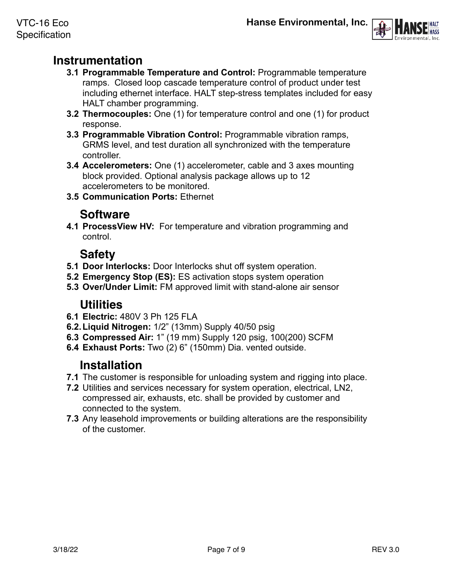

# <span id="page-6-0"></span>**Instrumentation**

- **3.1 Programmable Temperature and Control:** Programmable temperature ramps. Closed loop cascade temperature control of product under test including ethernet interface. HALT step-stress templates included for easy HALT chamber programming.
- **3.2 Thermocouples:** One (1) for temperature control and one (1) for product response.
- **3.3 Programmable Vibration Control:** Programmable vibration ramps, GRMS level, and test duration all synchronized with the temperature controller.
- **3.4 Accelerometers:** One (1) accelerometer, cable and 3 axes mounting block provided. Optional analysis package allows up to 12 accelerometers to be monitored.
- **3.5 Communication Ports:** Ethernet

# **Software**

<span id="page-6-1"></span>**4.1 ProcessView HV:** For temperature and vibration programming and control.

# **Safety**

- <span id="page-6-2"></span>**5.1 Door Interlocks:** Door Interlocks shut off system operation.
- **5.2 Emergency Stop (ES):** ES activation stops system operation
- **5.3 Over/Under Limit:** FM approved limit with stand-alone air sensor

### **Utilities**

- <span id="page-6-3"></span>**6.1 Electric:** 480V 3 Ph 125 FLA
- **6.2.Liquid Nitrogen:** 1/2" (13mm) Supply 40/50 psig
- **6.3 Compressed Air:** 1" (19 mm) Supply 120 psig, 100(200) SCFM
- **6.4 Exhaust Ports:** Two (2) 6" (150mm) Dia. vented outside.

### **Installation**

- <span id="page-6-4"></span>**7.1** The customer is responsible for unloading system and rigging into place.
- **7.2** Utilities and services necessary for system operation, electrical, LN2, compressed air, exhausts, etc. shall be provided by customer and connected to the system.
- **7.3** Any leasehold improvements or building alterations are the responsibility of the customer.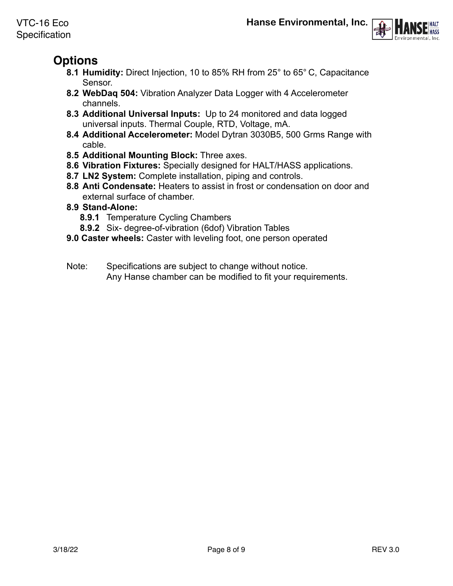

# <span id="page-7-0"></span>**Options**

- **8.1 Humidity:** Direct Injection, 10 to 85% RH from 25° to 65° C, Capacitance Sensor.
- **8.2 WebDaq 504:** Vibration Analyzer Data Logger with 4 Accelerometer channels.
- **8.3 Additional Universal Inputs:** Up to 24 monitored and data logged universal inputs. Thermal Couple, RTD, Voltage, mA.
- **8.4 Additional Accelerometer:** Model Dytran 3030B5, 500 Grms Range with cable.
- **8.5 Additional Mounting Block:** Three axes.
- **8.6 Vibration Fixtures:** Specially designed for HALT/HASS applications.
- **8.7 LN2 System:** Complete installation, piping and controls.
- **8.8 Anti Condensate:** Heaters to assist in frost or condensation on door and external surface of chamber.
- **8.9 Stand-Alone:** 
	- **8.9.1** Temperature Cycling Chambers
	- **8.9.2** Six- degree-of-vibration (6dof) Vibration Tables
- **9.0 Caster wheels:** Caster with leveling foot, one person operated
- Note: Specifications are subject to change without notice. Any Hanse chamber can be modified to fit your requirements.